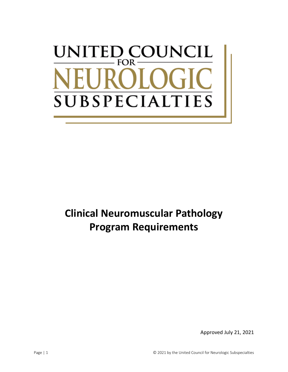# UNCIL UNITED CO FOR -**SUBSPECIALTIES**

# **Clinical Neuromuscular Pathology Program Requirements**

Approved July 21, 2021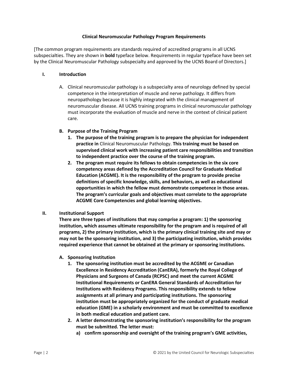#### **Clinical Neuromuscular Pathology Program Requirements**

[The common program requirements are standards required of accredited programs in all UCNS subspecialties. They are shown in **bold** typeface below. Requirements in regular typeface have been set by the Clinical Neuromuscular Pathology subspecialty and approved by the UCNS Board of Directors.]

#### **I. Introduction**

A. Clinical neuromuscular pathology is a subspecialty area of neurology defined by special competence in the interpretation of muscle and nerve pathology. It differs from neuropathology because it is highly integrated with the clinical management of neuromuscular disease. All UCNS training programs in clinical neuromuscular pathology must incorporate the evaluation of muscle and nerve in the context of clinical patient care.

# **B. Purpose of the Training Program**

- **1. The purpose of the training program is to prepare the physician for independent practice in** Clinical Neuromuscular Pathology. **This training must be based on supervised clinical work with increasing patient care responsibilities and transition to independent practice over the course of the training program.**
- **2. The program must require its fellows to obtain competencies in the six core competency areas defined by the Accreditation Council for Graduate Medical Education (ACGME). It is the responsibility of the program to provide precise definitions of specific knowledge, skills, and behaviors, as well as educational opportunities in which the fellow must demonstrate competence in those areas. The program's curricular goals and objectives must correlate to the appropriate ACGME Core Competencies and global learning objectives.**

# **II. Institutional Support**

**There are three types of institutions that may comprise a program: 1) the sponsoring institution, which assumes ultimate responsibility for the program and is required of all programs, 2) the primary institution, which is the primary clinical training site and may or may not be the sponsoring institution, and 3) the participating institution, which provides required experience that cannot be obtained at the primary or sponsoring institutions.**

- **A. Sponsoring Institution**
	- **1. The sponsoring institution must be accredited by the ACGME or Canadian Excellence in Residency Accreditation (CanERA), formerly the Royal College of Physicians and Surgeons of Canada (RCPSC) and meet the current ACGME Institutional Requirements or CanERA General Standards of Accreditation for Institutions with Residency Programs. This responsibility extends to fellow assignments at all primary and participating institutions. The sponsoring institution must be appropriately organized for the conduct of graduate medical education (GME) in a scholarly environment and must be committed to excellence in both medical education and patient care.**
	- **2. A letter demonstrating the sponsoring institution's responsibility for the program must be submitted. The letter must:**
		- **a) confirm sponsorship and oversight of the training program's GME activities,**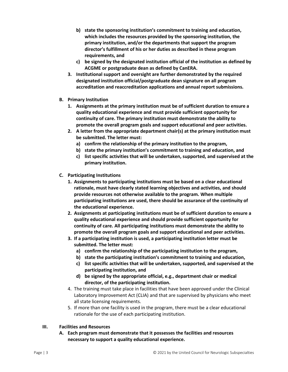- **b) state the sponsoring institution's commitment to training and education, which includes the resources provided by the sponsoring institution, the primary institution, and/or the departments that support the program director's fulfillment of his or her duties as described in these program requirements, and**
- **c) be signed by the designated institution official of the institution as defined by ACGME or postgraduate dean as defined by CanERA.**
- **3. Institutional support and oversight are further demonstrated by the required designated institution official/postgraduate dean signature on all program accreditation and reaccreditation applications and annual report submissions.**
- **B. Primary Institution**
	- **1. Assignments at the primary institution must be of sufficient duration to ensure a quality educational experience and must provide sufficient opportunity for continuity of care. The primary institution must demonstrate the ability to promote the overall program goals and support educational and peer activities.**
	- **2. A letter from the appropriate department chair(s) at the primary institution must be submitted. The letter must:**
		- **a) confirm the relationship of the primary institution to the program,**
		- **b) state the primary institution's commitment to training and education, and**
		- **c) list specific activities that will be undertaken, supported, and supervised at the primary institution.**
- **C. Participating Institutions**
	- **1. Assignments to participating institutions must be based on a clear educational rationale, must have clearly stated learning objectives and activities, and should provide resources not otherwise available to the program. When multiple participating institutions are used, there should be assurance of the continuity of the educational experience.**
	- **2. Assignments at participating institutions must be of sufficient duration to ensure a quality educational experience and should provide sufficient opportunity for continuity of care. All participating institutions must demonstrate the ability to promote the overall program goals and support educational and peer activities.**
	- **3. If a participating institution is used, a participating institution letter must be submitted. The letter must:**
		- **a) confirm the relationship of the participating institution to the program,**
		- **b) state the participating institution's commitment to training and education,**
		- **c) list specific activities that will be undertaken, supported, and supervised at the participating institution, and**
		- **d) be signed by the appropriate official, e.g., department chair or medical director, of the participating institution.**
	- 4. The training must take place in facilities that have been approved under the Clinical Laboratory Improvement Act (CLIA) and that are supervised by physicians who meet all state licensing requirements.
	- 5. If more than one facility is used in the program, there must be a clear educational rationale for the use of each participating institution.
- **III. Facilities and Resources**
	- **A. Each program must demonstrate that it possesses the facilities and resources necessary to support a quality educational experience.**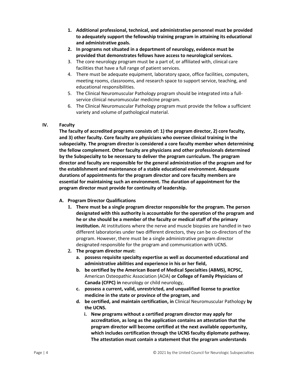- **1. Additional professional, technical, and administrative personnel must be provided to adequately support the fellowship training program in attaining its educational and administrative goals.**
- **2. In programs not situated in a department of neurology, evidence must be provided that demonstrates fellows have access to neurological services.**
- 3. The core neurology program must be a part of, or affiliated with, clinical care facilities that have a full range of patient services.
- 4. There must be adequate equipment, laboratory space, office facilities, computers, meeting rooms, classrooms, and research space to support service, teaching, and educational responsibilities.
- 5. The Clinical Neuromuscular Pathology program should be integrated into a fullservice clinical neuromuscular medicine program.
- 6. The Clinical Neuromuscular Pathology program must provide the fellow a sufficient variety and volume of pathological material.

# **IV. Faculty**

**The faculty of accredited programs consists of: 1) the program director, 2) core faculty, and 3) other faculty. Core faculty are physicians who oversee clinical training in the subspecialty. The program director is considered a core faculty member when determining the fellow complement. Other faculty are physicians and other professionals determined by the Subspecialty to be necessary to deliver the program curriculum. The program director and faculty are responsible for the general administration of the program and for the establishment and maintenance of a stable educational environment. Adequate durations of appointments for the program director and core faculty members are essential for maintaining such an environment. The duration of appointment for the program director must provide for continuity of leadership.**

# **A. Program Director Qualifications**

- **1. There must be a single program director responsible for the program. The person designated with this authority is accountable for the operation of the program and he or she should be a member of the faculty or medical staff of the primary institution.** At institutions where the nerve and muscle biopsies are handled in two different laboratories under two different directors, they can be co-directors of the program. However, there must be a single administrative program director designated responsible for the program and communication with UCNS.
- **2. The program director must:**
	- **a. possess requisite specialty expertise as well as documented educational and administrative abilities and experience in his or her field,**
	- **b. be certified by the American Board of Medical Specialties (ABMS), RCPSC,** American Osteopathic Association (AOA) **or College of Family Physicians of Canada (CFPC) in** neurology or child neurology,
	- **c. possess a current, valid, unrestricted, and unqualified license to practice medicine in the state or province of the program, and**
	- **d. be certified, and maintain certification, in** Clinical Neuromuscular Pathology **by the UCNS.**
		- **i. New programs without a certified program director may apply for accreditation, as long as the application contains an attestation that the program director will become certified at the next available opportunity, which includes certification through the UCNS faculty diplomate pathway. The attestation must contain a statement that the program understands**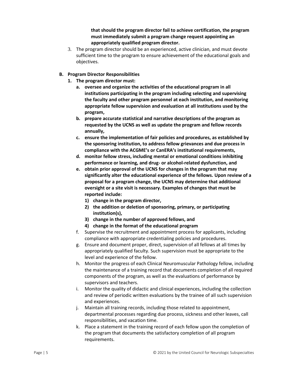**that should the program director fail to achieve certification, the program must immediately submit a program change request appointing an appropriately qualified program director.**

- 3. The program director should be an experienced, active clinician, and must devote sufficient time to the program to ensure achievement of the educational goals and objectives.
- **B. Program Director Responsibilities**
	- **1. The program director must:**
		- **a. oversee and organize the activities of the educational program in all institutions participating in the program including selecting and supervising the faculty and other program personnel at each institution, and monitoring appropriate fellow supervision and evaluation at all institutions used by the program,**
		- **b. prepare accurate statistical and narrative descriptions of the program as requested by the UCNS as well as update the program and fellow records annually,**
		- **c. ensure the implementation of fair policies and procedures, as established by the sponsoring institution, to address fellow grievances and due process in compliance with the ACGME's or CanERA's institutional requirements,**
		- **d. monitor fellow stress, including mental or emotional conditions inhibiting performance or learning, and drug- or alcohol-related dysfunction, and**
		- **e. obtain prior approval of the UCNS for changes in the program that may significantly alter the educational experience of the fellows. Upon review of a proposal for a program change, the UCNS may determine that additional oversight or a site visit is necessary. Examples of changes that must be reported include:**
			- **1) change in the program director,**
			- **2) the addition or deletion of sponsoring, primary, or participating institution(s),**
			- **3) change in the number of approved fellows, and**
			- **4) change in the format of the educational program**
		- f. Supervise the recruitment and appointment process for applicants, including compliance with appropriate credentialing policies and procedures.
		- g. Ensure and document proper, direct, supervision of all fellows at all times by appropriately qualified faculty. Such supervision must be appropriate to the level and experience of the fellow.
		- h. Monitor the progress of each Clinical Neuromuscular Pathology fellow, including the maintenance of a training record that documents completion of all required components of the program, as well as the evaluations of performance by supervisors and teachers.
		- i. Monitor the quality of didactic and clinical experiences, including the collection and review of periodic written evaluations by the trainee of all such supervision and experiences.
		- j. Maintain all training records, including those related to appointment, departmental processes regarding due process, sickness and other leaves, call responsibilities, and vacation time.
		- k. Place a statement in the training record of each fellow upon the completion of the program that documents the satisfactory completion of all program requirements.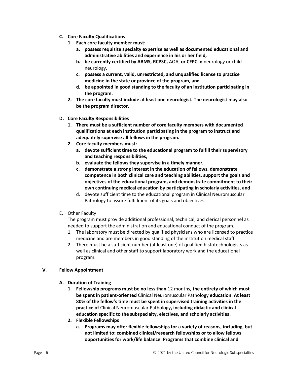- **C. Core Faculty Qualifications**
	- **1. Each core faculty member must:** 
		- **a. possess requisite specialty expertise as well as documented educational and administrative abilities and experience in his or her field,**
		- **b. be currently certified by ABMS, RCPSC,** AOA, **or CFPC in** neurology or child neurology,
		- **c. possess a current, valid, unrestricted, and unqualified license to practice medicine in the state or province of the program, and**
		- **d. be appointed in good standing to the faculty of an institution participating in the program.**
	- **2. The core faculty must include at least one neurologist. The neurologist may also be the program director.**
- **D. Core Faculty Responsibilities**
	- **1. There must be a sufficient number of core faculty members with documented qualifications at each institution participating in the program to instruct and adequately supervise all fellows in the program.**
	- **2. Core faculty members must:**
		- **a. devote sufficient time to the educational program to fulfill their supervisory and teaching responsibilities,**
		- **b. evaluate the fellows they supervise in a timely manner,**
		- **c. demonstrate a strong interest in the education of fellows, demonstrate competence in both clinical care and teaching abilities, support the goals and objectives of the educational program, and demonstrate commitment to their own continuing medical education by participating in scholarly activities, and**
		- d. devote sufficient time to the educational program in Clinical Neuromuscular Pathology to assure fulfillment of its goals and objectives.
- E. Other Faculty

The program must provide additional professional, technical, and clerical personnel as needed to support the administration and educational conduct of the program.

- 1. The laboratory must be directed by qualified physicians who are licensed to practice medicine and are members in good standing of the institution medical staff.
- 2. There must be a sufficient number (at least one) of qualified histotechnologists as well as clinical and other staff to support laboratory work and the educational program.

# **V. Fellow Appointment**

- **A. Duration of Training**
	- **1. Fellowship programs must be no less than** 12 months**, the entirety of which must be spent in patient-oriented** Clinical Neuromuscular Pathology **education. At least 80% of the fellow's time must be spent in supervised training activities in the practice of** Clinical Neuromuscular Pathology**, including didactic and clinical education specific to the subspecialty, electives, and scholarly activities.**
	- **2. Flexible Fellowships**
		- **a. Programs may offer flexible fellowships for a variety of reasons, including, but not limited to: combined clinical/research fellowships or to allow fellows opportunities for work/life balance. Programs that combine clinical and**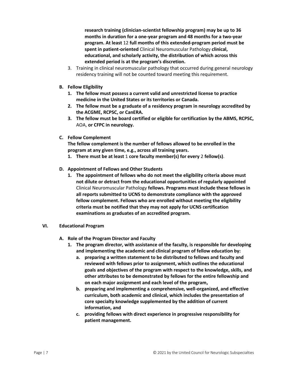**research training (clinician-scientist fellowship program) may be up to 36 months in duration for a one-year program and 48 months for a two-year program. At least** 12 **full months of this extended-program period must be spent in patient-oriented** Clinical Neuromuscular Pathology **clinical, educational, and scholarly activity, the distribution of which across this extended period is at the program's discretion.**

- 3. Training in clinical neuromuscular pathology that occurred during general neurology residency training will not be counted toward meeting this requirement.
- **B. Fellow Eligibility**
	- **1. The fellow must possess a current valid and unrestricted license to practice medicine in the United States or its territories or Canada.**
	- **2. The fellow must be a graduate of a residency program in neurology accredited by the ACGME, RCPSC, or CanERA.**
	- **3. The fellow must be board certified or eligible for certification by the ABMS, RCPSC,** AOA, **or CFPC in neurology.**
- **C. Fellow Complement**

**The fellow complement is the number of fellows allowed to be enrolled in the program at any given time, e.g., across all training years.** 

- **1. There must be at least** 1 **core faculty member(s) for every** 2 **fellow(s)**.
- **D. Appointment of Fellows and Other Students**
	- **1. The appointment of fellows who do not meet the eligibility criteria above must not dilute or detract from the educational opportunities of regularly appointed**  Clinical Neuromuscular Pathology **fellows. Programs must include these fellows in all reports submitted to UCNS to demonstrate compliance with the approved fellow complement. Fellows who are enrolled without meeting the eligibility criteria must be notified that they may not apply for UCNS certification examinations as graduates of an accredited program.**
- **VI. Educational Program**
	- **A. Role of the Program Director and Faculty**
		- **1. The program director, with assistance of the faculty, is responsible for developing and implementing the academic and clinical program of fellow education by:**
			- **a. preparing a written statement to be distributed to fellows and faculty and reviewed with fellows prior to assignment, which outlines the educational goals and objectives of the program with respect to the knowledge, skills, and other attributes to be demonstrated by fellows for the entire fellowship and on each major assignment and each level of the program,**
			- **b. preparing and implementing a comprehensive, well-organized, and effective curriculum, both academic and clinical, which includes the presentation of core specialty knowledge supplemented by the addition of current information, and**
			- **c. providing fellows with direct experience in progressive responsibility for patient management.**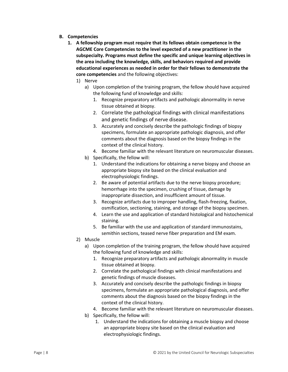- **B. Competencies**
	- **1. A fellowship program must require that its fellows obtain competence in the AGCME Core Competencies to the level expected of a new practitioner in the subspecialty. Programs must define the specific and unique learning objectives in the area including the knowledge, skills, and behaviors required and provide educational experiences as needed in order for their fellows to demonstrate the core competencies** and the following objectives:
		- 1) Nerve
			- a) Upon completion of the training program, the fellow should have acquired the following fund of knowledge and skills:
				- 1. Recognize preparatory artifacts and pathologic abnormality in nerve tissue obtained at biopsy.
				- 2. Correlate the pathological findings with clinical manifestations and genetic findings of nerve disease.
				- 3. Accurately and concisely describe the pathologic findings of biopsy specimens, formulate an appropriate pathologic diagnosis, and offer comments about the diagnosis based on the biopsy findings in the context of the clinical history.
				- 4. Become familiar with the relevant literature on neuromuscular diseases.
			- b) Specifically, the fellow will:
				- 1. Understand the indications for obtaining a nerve biopsy and choose an appropriate biopsy site based on the clinical evaluation and electrophysiologic findings.
				- 2. Be aware of potential artifacts due to the nerve biopsy procedure; hemorrhage into the specimen, crushing of tissue, damage by inappropriate dissection, and insufficient amount of tissue.
				- 3. Recognize artifacts due to improper handling, flash-freezing, fixation, osmification, sectioning, staining, and storage of the biopsy specimen.
				- 4. Learn the use and application of standard histological and histochemical staining.
				- 5. Be familiar with the use and application of standard immunostains, semithin sections, teased nerve fiber preparation and EM exam.
		- 2) Muscle
			- a) Upon completion of the training program, the fellow should have acquired the following fund of knowledge and skills:
				- 1. Recognize preparatory artifacts and pathologic abnormality in muscle tissue obtained at biopsy.
				- 2. Correlate the pathological findings with clinical manifestations and genetic findings of muscle diseases.
				- 3. Accurately and concisely describe the pathologic findings in biopsy specimens, formulate an appropriate pathological diagnosis, and offer comments about the diagnosis based on the biopsy findings in the context of the clinical history.
				- 4. Become familiar with the relevant literature on neuromuscular diseases.
			- b) Specifically, the fellow will:
				- 1. Understand the indications for obtaining a muscle biopsy and choose an appropriate biopsy site based on the clinical evaluation and electrophysiologic findings.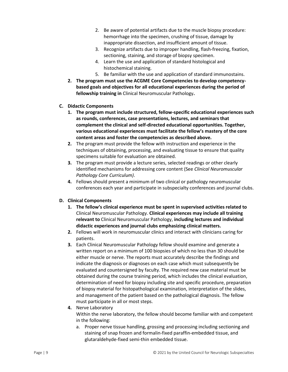- 2. Be aware of potential artifacts due to the muscle biopsy procedure: hemorrhage into the specimen, crushing of tissue, damage by inappropriate dissection, and insufficient amount of tissue.
- 3. Recognize artifacts due to improper handling, flash-freezing, fixation, sectioning, staining, and storage of biopsy specimen.
- 4. Learn the use and application of standard histological and histochemical staining.
- 5. Be familiar with the use and application of standard immunostains.
- **2. The program must use the ACGME Core Competencies to develop competencybased goals and objectives for all educational experiences during the period of fellowship training in** Clinical Neuromuscular Pathology**.**
- **C. Didactic Components**
	- **1. The program must include structured, fellow-specific educational experiences such as rounds, conferences, case presentations, lectures, and seminars that complement the clinical and self-directed educational opportunities. Together, various educational experiences must facilitate the fellow's mastery of the core content areas and foster the competencies as described above.**
	- **2.** The program must provide the fellow with instruction and experience in the techniques of obtaining, processing, and evaluating tissue to ensure that quality specimens suitable for evaluation are obtained.
	- **3.** The program must provide a lecture series, selected readings or other clearly identified mechanisms for addressing core content (See *Clinical Neuromuscular Pathology Core Curriculum)*.
	- **4.** Fellows should present a minimum of two clinical or pathology neuromuscular conferences each year and participate in subspecialty conferences and journal clubs.

# **D. Clinical Components**

- **1. The fellow's clinical experience must be spent in supervised activities related to**  Clinical Neuromuscular Pathology. **Clinical experiences may include all training relevant to** Clinical Neuromuscular Pathology, **including lectures and individual didactic experiences and journal clubs emphasizing clinical matters.**
- **2.** Fellows will work in neuromuscular clinics and interact with clinicians caring for patients.
- **3.** Each Clinical Neuromuscular Pathology fellow should examine and generate a written report on a minimum of 100 biopsies of which no less than 30 should be either muscle or nerve. The reports must accurately describe the findings and indicate the diagnosis or diagnoses on each case which must subsequently be evaluated and countersigned by faculty. The required new case material must be obtained during the course training period, which includes the clinical evaluation, determination of need for biopsy including site and specific procedure, preparation of biopsy material for histopathological examination, interpretation of the slides, and management of the patient based on the pathological diagnosis. The fellow must participate in all or most steps.
- **4.** Nerve Laboratory Within the nerve laboratory, the fellow should become familiar with and competent in the following:
	- a. Proper nerve tissue handling, grossing and processing including sectioning and staining of snap frozen and formalin-fixed paraffin-embedded tissue, and glutaraldehyde-fixed semi-thin embedded tissue.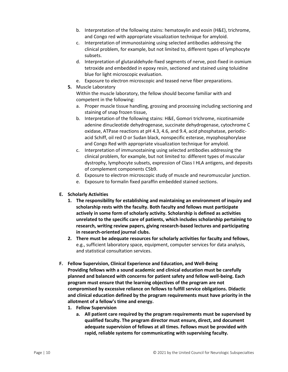- b. Interpretation of the following stains: hematoxylin and eosin (H&E), trichrome, and Congo red with appropriate visualization technique for amyloid.
- c. Interpretation of immunostaining using selected antibodies addressing the clinical problem, for example, but not limited to, different types of lymphocyte subsets.
- d. Interpretation of glutaraldehyde-fixed segments of nerve, post-fixed in osmium tetroxide and embedded in epoxy resin, sectioned and stained using toluidine blue for light microscopic evaluation.
- e. Exposure to electron microscopic and teased nerve fiber preparations.
- **5.** Muscle Laboratory

Within the muscle laboratory, the fellow should become familiar with and competent in the following:

- a. Proper muscle tissue handling, grossing and processing including sectioning and staining of snap frozen tissue,
- b. Interpretation of the following stains: H&E, Gomori trichrome, nicotinamide adenine dinucleotide dehydrogenase, succinate dehydrogenase, cytochrome C oxidase, ATPase reactions at pH 4.3, 4.6, and 9.4, acid phosphatase, periodicacid Schiff, oil red O or Sudan black, nonspecific esterase, myophosphorylase and Congo Red with appropriate visualization technique for amyloid.
- c. Interpretation of immunostaining using selected antibodies addressing the clinical problem, for example, but not limited to: different types of muscular dystrophy, lymphocyte subsets, expression of Class I HLA antigens, and deposits of complement components C5b9.
- d. Exposure to electron microscopic study of muscle and neuromuscular junction.
- e. Exposure to formalin fixed paraffin embedded stained sections.
- **E. Scholarly Activities**
	- **1. The responsibility for establishing and maintaining an environment of inquiry and scholarship rests with the faculty. Both faculty and fellows must participate actively in some form of scholarly activity. Scholarship is defined as activities unrelated to the specific care of patients, which includes scholarship pertaining to research, writing review papers, giving research-based lectures and participating in research-oriented journal clubs.**
	- **2. There must be adequate resources for scholarly activities for faculty and fellows,** e.g., sufficient laboratory space, equipment, computer services for data analysis, and statistical consultation services.
- **F. Fellow Supervision, Clinical Experience and Education, and Well-Being Providing fellows with a sound academic and clinical education must be carefully planned and balanced with concerns for patient safety and fellow well-being. Each program must ensure that the learning objectives of the program are not compromised by excessive reliance on fellows to fulfill service obligations. Didactic and clinical education defined by the program requirements must have priority in the allotment of a fellow's time and energy.**
	- **1. Fellow Supervision**
		- **a. All patient care required by the program requirements must be supervised by qualified faculty. The program director must ensure, direct, and document adequate supervision of fellows at all times. Fellows must be provided with rapid, reliable systems for communicating with supervising faculty.**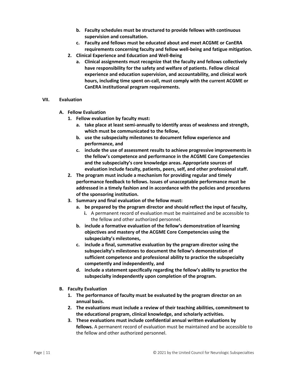- **b. Faculty schedules must be structured to provide fellows with continuous supervision and consultation.**
- **c. Faculty and fellows must be educated about and meet ACGME or CanERA requirements concerning faculty and fellow well-being and fatigue mitigation.**
- **2. Clinical Experience and Education and Well-Being**
	- **a. Clinical assignments must recognize that the faculty and fellows collectively have responsibility for the safety and welfare of patients. Fellow clinical experience and education supervision, and accountability, and clinical work hours, including time spent on-call, must comply with the current ACGME or CanERA institutional program requirements.**

# **VII. Evaluation**

- **A. Fellow Evaluation**
	- **1. Fellow evaluation by faculty must:**
		- **a. take place at least semi-annually to identify areas of weakness and strength, which must be communicated to the fellow,**
		- **b. use the subspecialty milestones to document fellow experience and performance, and**
		- **c. include the use of assessment results to achieve progressive improvements in the fellow's competence and performance in the ACGME Core Competencies and the subspecialty's core knowledge areas. Appropriate sources of evaluation include faculty, patients, peers, self, and other professional staff.**
	- **2. The program must include a mechanism for providing regular and timely performance feedback to fellows. Issues of unacceptable performance must be addressed in a timely fashion and in accordance with the policies and procedures of the sponsoring institution.**
	- **3. Summary and final evaluation of the fellow must:**
		- **a. be prepared by the program director and should reflect the input of faculty,**
			- **i.** A permanent record of evaluation must be maintained and be accessible to the fellow and other authorized personnel.
		- **b. include a formative evaluation of the fellow's demonstration of learning objectives and mastery of the ACGME Core Competencies using the subspecialty's milestones,**
		- **c. include a final, summative evaluation by the program director using the subspecialty's milestones to document the fellow's demonstration of sufficient competence and professional ability to practice the subspecialty competently and independently, and**
		- **d. include a statement specifically regarding the fellow's ability to practice the subspecialty independently upon completion of the program.**
- **B. Faculty Evaluation**
	- **1. The performance of faculty must be evaluated by the program director on an annual basis.**
	- **2. The evaluations must include a review of their teaching abilities, commitment to the educational program, clinical knowledge, and scholarly activities.**
	- **3. These evaluations must include confidential annual written evaluations by fellows.** A permanent record of evaluation must be maintained and be accessible to the fellow and other authorized personnel.